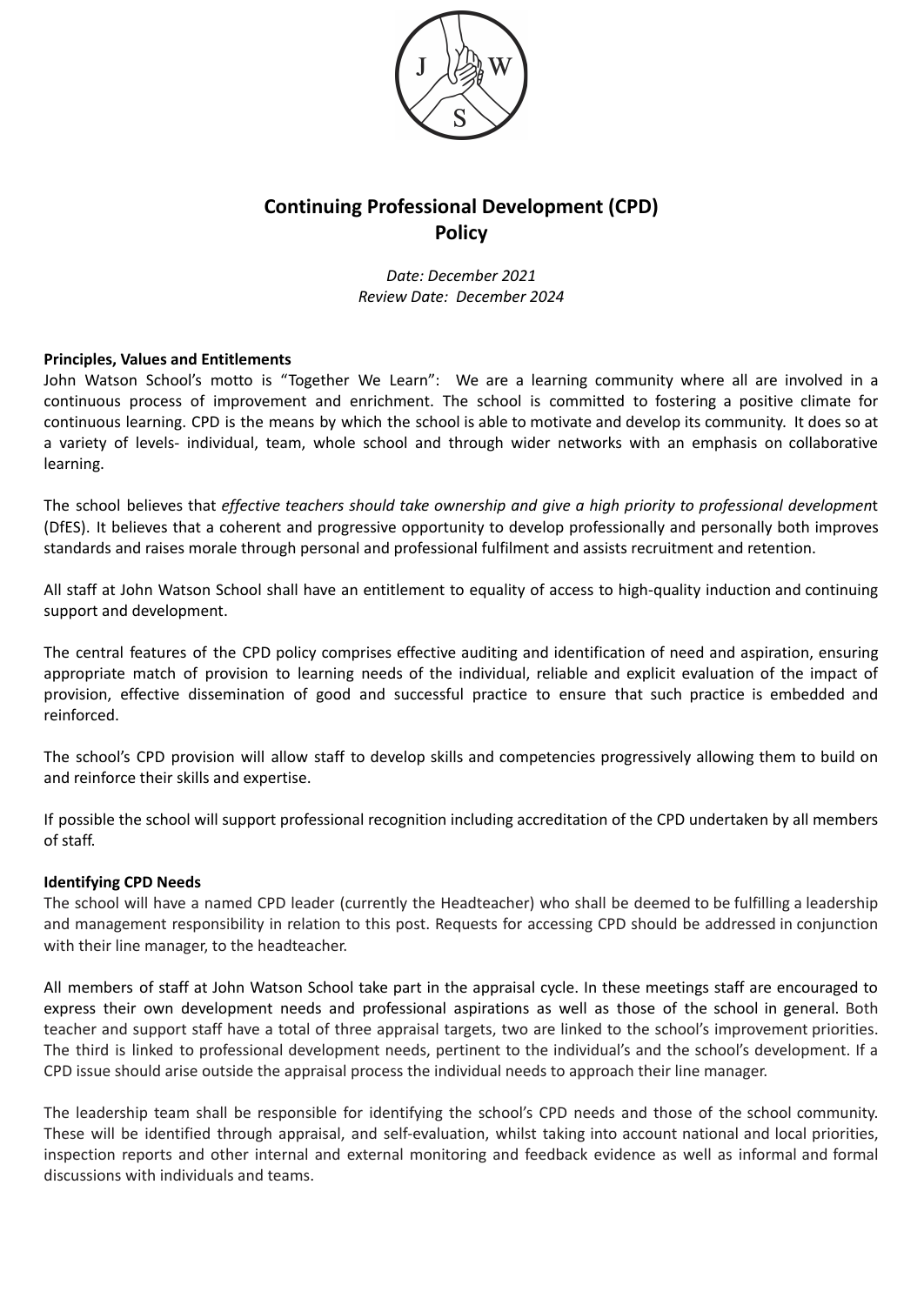

# **Continuing Professional Development (CPD) Policy**

*Date: December 2021 Review Date: December 2024*

## **Principles, Values and Entitlements**

John Watson School's motto is "Together We Learn": We are a learning community where all are involved in a continuous process of improvement and enrichment. The school is committed to fostering a positive climate for continuous learning. CPD is the means by which the school is able to motivate and develop its community. It does so at a variety of levels- individual, team, whole school and through wider networks with an emphasis on collaborative learning.

The school believes that *effective teachers should take ownership and give a high priority to professional developmen*t (DfES). It believes that a coherent and progressive opportunity to develop professionally and personally both improves standards and raises morale through personal and professional fulfilment and assists recruitment and retention.

All staff at John Watson School shall have an entitlement to equality of access to high-quality induction and continuing support and development.

The central features of the CPD policy comprises effective auditing and identification of need and aspiration, ensuring appropriate match of provision to learning needs of the individual, reliable and explicit evaluation of the impact of provision, effective dissemination of good and successful practice to ensure that such practice is embedded and reinforced.

The school's CPD provision will allow staff to develop skills and competencies progressively allowing them to build on and reinforce their skills and expertise.

If possible the school will support professional recognition including accreditation of the CPD undertaken by all members of staff.

# **Identifying CPD Needs**

The school will have a named CPD leader (currently the Headteacher) who shall be deemed to be fulfilling a leadership and management responsibility in relation to this post. Requests for accessing CPD should be addressed in conjunction with their line manager, to the headteacher.

All members of staff at John Watson School take part in the appraisal cycle. In these meetings staff are encouraged to express their own development needs and professional aspirations as well as those of the school in general. Both teacher and support staff have a total of three appraisal targets, two are linked to the school's improvement priorities. The third is linked to professional development needs, pertinent to the individual's and the school's development. If a CPD issue should arise outside the appraisal process the individual needs to approach their line manager.

The leadership team shall be responsible for identifying the school's CPD needs and those of the school community. These will be identified through appraisal, and self-evaluation, whilst taking into account national and local priorities, inspection reports and other internal and external monitoring and feedback evidence as well as informal and formal discussions with individuals and teams.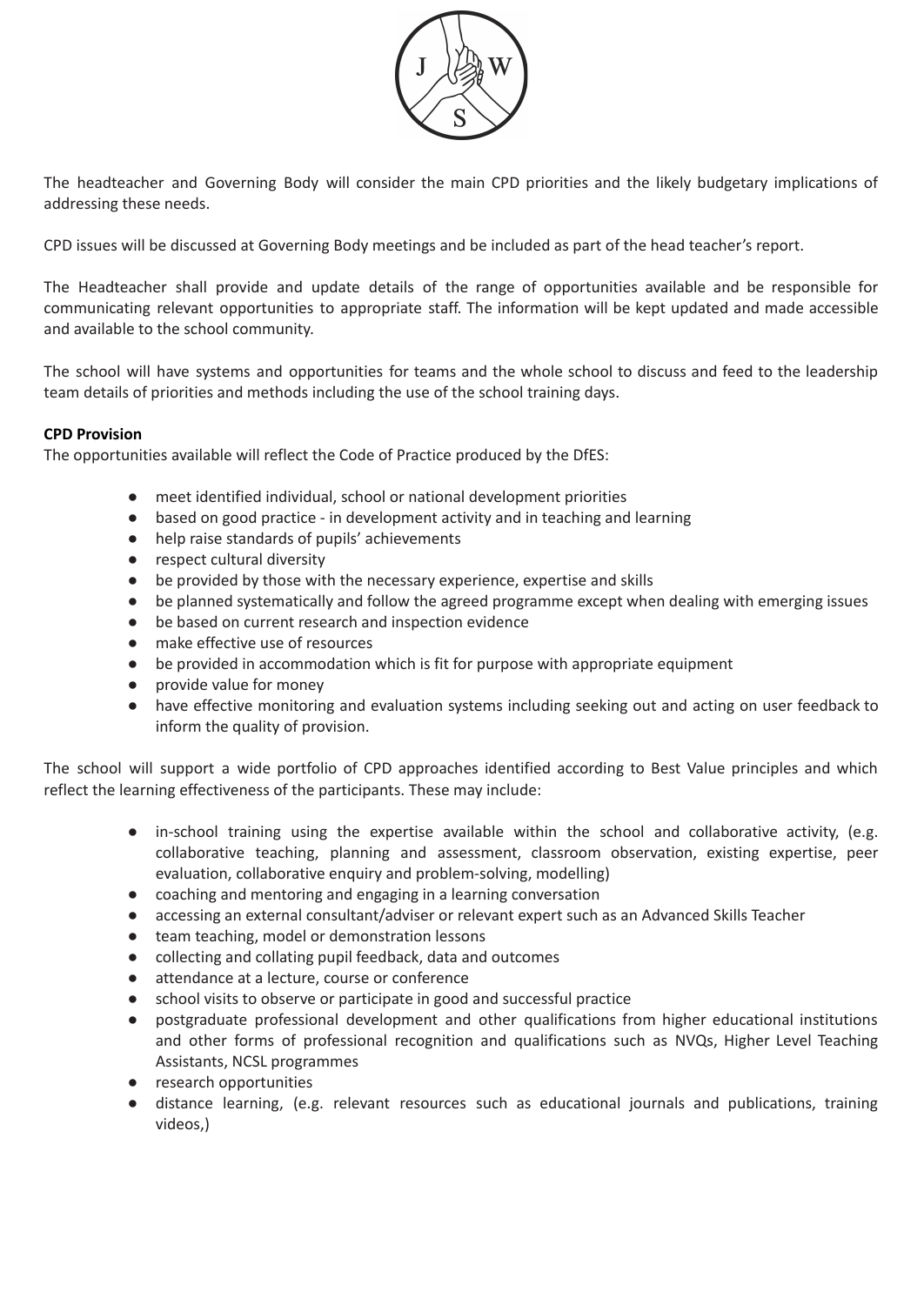

The headteacher and Governing Body will consider the main CPD priorities and the likely budgetary implications of addressing these needs.

CPD issues will be discussed at Governing Body meetings and be included as part of the head teacher's report.

The Headteacher shall provide and update details of the range of opportunities available and be responsible for communicating relevant opportunities to appropriate staff. The information will be kept updated and made accessible and available to the school community.

The school will have systems and opportunities for teams and the whole school to discuss and feed to the leadership team details of priorities and methods including the use of the school training days.

#### **CPD Provision**

The opportunities available will reflect the Code of Practice produced by the DfES:

- meet identified individual, school or national development priorities
- based on good practice in development activity and in teaching and learning
- help raise standards of pupils' achievements
- respect cultural diversity
- be provided by those with the necessary experience, expertise and skills
- be planned systematically and follow the agreed programme except when dealing with emerging issues
- be based on current research and inspection evidence
- make effective use of resources
- be provided in accommodation which is fit for purpose with appropriate equipment
- provide value for money
- have effective monitoring and evaluation systems including seeking out and acting on user feedback to inform the quality of provision.

The school will support a wide portfolio of CPD approaches identified according to Best Value principles and which reflect the learning effectiveness of the participants. These may include:

- in-school training using the expertise available within the school and collaborative activity, (e.g. collaborative teaching, planning and assessment, classroom observation, existing expertise, peer evaluation, collaborative enquiry and problem-solving, modelling)
- coaching and mentoring and engaging in a learning conversation
- accessing an external consultant/adviser or relevant expert such as an Advanced Skills Teacher
- team teaching, model or demonstration lessons
- collecting and collating pupil feedback, data and outcomes
- attendance at a lecture, course or conference
- school visits to observe or participate in good and successful practice
- postgraduate professional development and other qualifications from higher educational institutions and other forms of professional recognition and qualifications such as NVQs, Higher Level Teaching Assistants, NCSL programmes
- research opportunities
- distance learning, (e.g. relevant resources such as educational journals and publications, training videos,)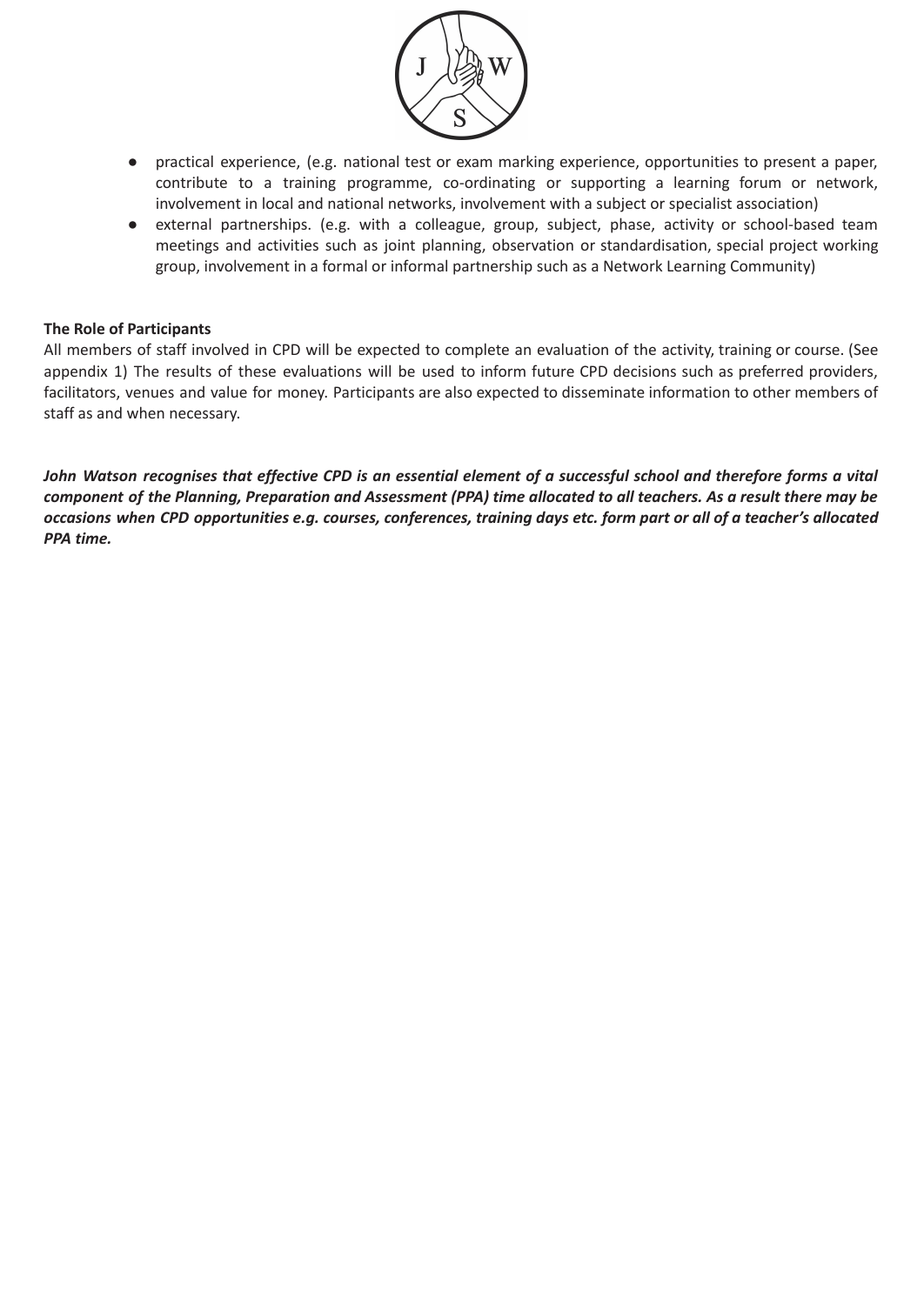

- practical experience, (e.g. national test or exam marking experience, opportunities to present a paper, contribute to a training programme, co-ordinating or supporting a learning forum or network, involvement in local and national networks, involvement with a subject or specialist association)
- external partnerships. (e.g. with a colleague, group, subject, phase, activity or school-based team meetings and activities such as joint planning, observation or standardisation, special project working group, involvement in a formal or informal partnership such as a Network Learning Community)

## **The Role of Participants**

All members of staff involved in CPD will be expected to complete an evaluation of the activity, training or course. (See appendix 1) The results of these evaluations will be used to inform future CPD decisions such as preferred providers, facilitators, venues and value for money. Participants are also expected to disseminate information to other members of staff as and when necessary.

John Watson recognises that effective CPD is an essential element of a successful school and therefore forms a vital component of the Planning, Preparation and Assessment (PPA) time allocated to all teachers. As a result there may be occasions when CPD opportunities e.g. courses, conferences, training days etc. form part or all of a teacher's allocated *PPA time.*